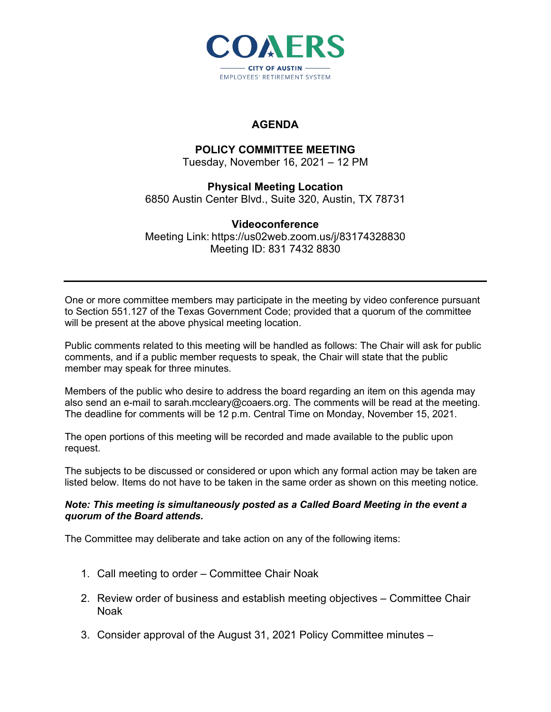

# **AGENDA**

## **POLICY COMMITTEE MEETING**

Tuesday, November 16, 2021 – 12 PM

#### **Physical Meeting Location** 6850 Austin Center Blvd., Suite 320, Austin, TX 78731

### **Videoconference** Meeting Link: https://us02web.zoom.us/j/83174328830 Meeting ID: 831 7432 8830

One or more committee members may participate in the meeting by video conference pursuant to Section 551.127 of the Texas Government Code; provided that a quorum of the committee will be present at the above physical meeting location.

Public comments related to this meeting will be handled as follows: The Chair will ask for public comments, and if a public member requests to speak, the Chair will state that the public member may speak for three minutes.

Members of the public who desire to address the board regarding an item on this agenda may also send an e-mail to sarah.mccleary@coaers.org. The comments will be read at the meeting. The deadline for comments will be 12 p.m. Central Time on Monday, November 15, 2021.

The open portions of this meeting will be recorded and made available to the public upon request.

The subjects to be discussed or considered or upon which any formal action may be taken are listed below. Items do not have to be taken in the same order as shown on this meeting notice.

### *Note: This meeting is simultaneously posted as a Called Board Meeting in the event a quorum of the Board attends.*

The Committee may deliberate and take action on any of the following items:

- 1. Call meeting to order Committee Chair Noak
- 2. Review order of business and establish meeting objectives Committee Chair Noak
- 3. Consider approval of the August 31, 2021 Policy Committee minutes –